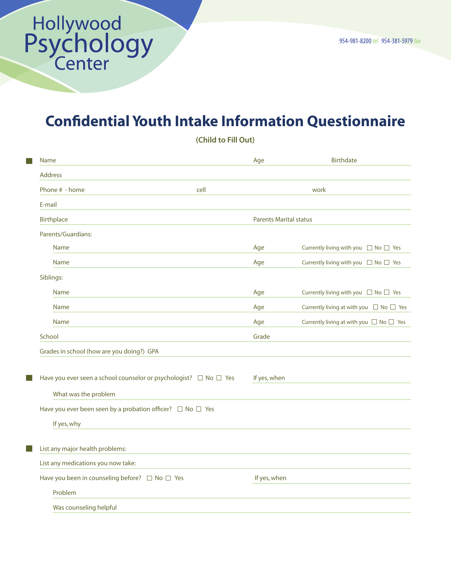$\mathbb{R}^n$ 

П

 $\mathbb{R}^n$ 

## Confidential Youth Intake Information Questionnaire

| Name                                                                        |      | Age                           | <b>Birthdate</b>                                  |
|-----------------------------------------------------------------------------|------|-------------------------------|---------------------------------------------------|
| <b>Address</b>                                                              |      |                               |                                                   |
| Phone # - home                                                              | cell |                               | work                                              |
| E-mail                                                                      |      |                               |                                                   |
| Birthplace                                                                  |      | <b>Parents Marital status</b> |                                                   |
| Parents/Guardians:                                                          |      |                               |                                                   |
| <b>Name</b>                                                                 |      | Age                           | Currently living with you $\Box$ No $\Box$ Yes    |
| <b>Name</b>                                                                 |      | Age                           | Currently living with you $\Box$ No $\Box$ Yes    |
| Siblings:                                                                   |      |                               |                                                   |
| <b>Name</b>                                                                 |      | Age                           | Currently living with you $\Box$ No $\Box$ Yes    |
| <b>Name</b>                                                                 |      | Age                           | Currently living at with you $\Box$ No $\Box$ Yes |
| <b>Name</b>                                                                 |      | Age                           | Currently living at with you $\Box$ No $\Box$ Yes |
| School                                                                      |      | Grade                         |                                                   |
| Grades in school (how are you doing?) GPA                                   |      |                               |                                                   |
|                                                                             |      |                               |                                                   |
| Have you ever seen a school counselor or psychologist? $\Box$ No $\Box$ Yes |      | If yes, when                  |                                                   |
| What was the problem                                                        |      |                               |                                                   |
| Have you ever been seen by a probation officer? $\Box$ No $\Box$ Yes        |      |                               |                                                   |
| If yes, why                                                                 |      |                               |                                                   |
|                                                                             |      |                               |                                                   |
| List any major health problems:                                             |      |                               |                                                   |
| List any medications you now take:                                          |      |                               |                                                   |
| Have you been in counseling before? □ No □ Yes                              |      | If yes, when                  |                                                   |
| Problem                                                                     |      |                               |                                                   |
| Was counseling helpful                                                      |      |                               |                                                   |
|                                                                             |      |                               |                                                   |

(Child to Fill Out)